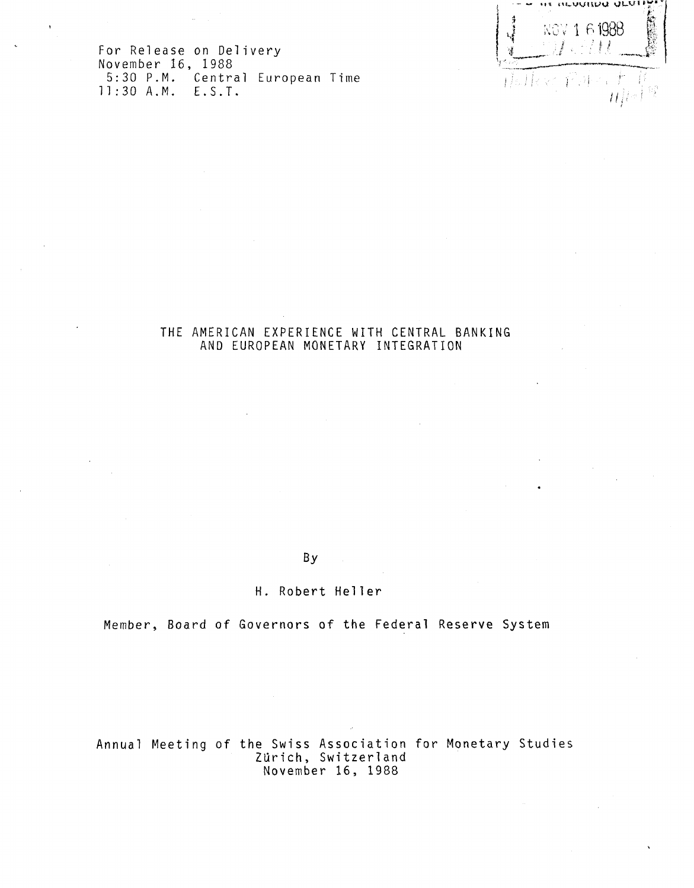us iiLuyuuvi <sup>U</sup> <sup>W</sup> **k g <sup>v</sup> <sup>l</sup> B198 <sup>8</sup>**  $\cdots$  is  $\ell$  in  $\ell$  in  $\ell$ 再用权力 控連  $\ell$  if

**F or Releas <sup>e</sup> on Deliver <sup>y</sup> Novembe <sup>r</sup> 1 6, <sup>198</sup> <sup>8</sup> 5:3 <sup>0</sup>** <sup>P</sup> **. M . Centra <sup>l</sup> Europea <sup>n</sup> Tim <sup>e</sup> H:3 0 A.M . E.S.T .**

# **T H <sup>E</sup> AMERICA <sup>N</sup> EXPERIENC <sup>E</sup> WIT <sup>H</sup> CENTRA <sup>L</sup> BANKIN <sup>G</sup> A N <sup>D</sup> EUROPEA <sup>N</sup> MONETAR <sup>Y</sup> INTEGRATIO <sup>N</sup>**

**By**

**H. Rober t Helle r**

**Member , Boar <sup>d</sup> of Governor <sup>s</sup> <sup>o</sup> <sup>f</sup> t h <sup>e</sup> Federa <sup>l</sup> Reserv <sup>e</sup> Syste <sup>m</sup>**

**Annua <sup>l</sup> Meetin <sup>g</sup> of t h <sup>e</sup> Swis <sup>s</sup> Associatio <sup>n</sup> f o <sup>r</sup> Monetar <sup>y</sup> Studie <sup>s</sup> Zürich, Switzerland Novembe <sup>r</sup> 1 6, <sup>198</sup> <sup>8</sup>**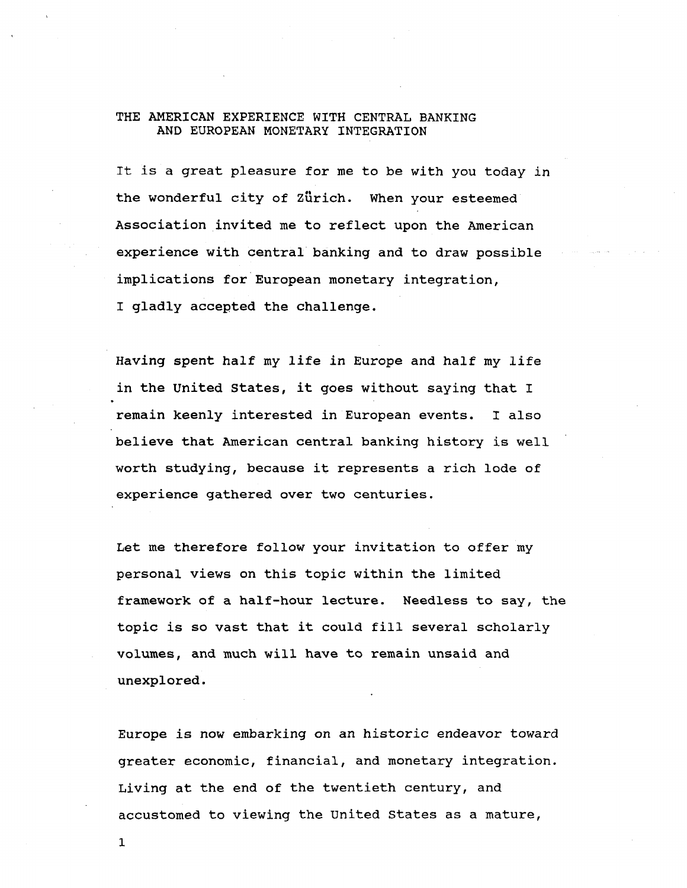### **THE AMERICAN EXPERIENCE WITH CENTRAL BANKING AND EUROPEAN MONETARY INTEGRATION**

**It is a great pleasure for me to be with you today in the wonderful city of Zurich. When your esteemed Association invited me to reflect upon the American experience with central banking and to draw possible implications for European monetary integration, I gladly accepted the challenge.**

**Having spent half my life in Europe and half my life in the United States, it goes without saying that I remain keenly interested in European events. I also believe that American central banking history is well worth studying, because it represents a rich lode of experience gathered over two centuries.**

**Let me therefore follow your invitation to offer my personal views on this topic within the limited framework of a half-hour lecture. Needless to say, the topic is so vast that it could fill several scholarly volumes, and much will have to remain unsaid and unexplored.**

**Europe is now embarking on an historic endeavor toward greater economic, financial, and monetary integration. Living at the end of the twentieth century, and accustomed to viewing the United States as a mature,**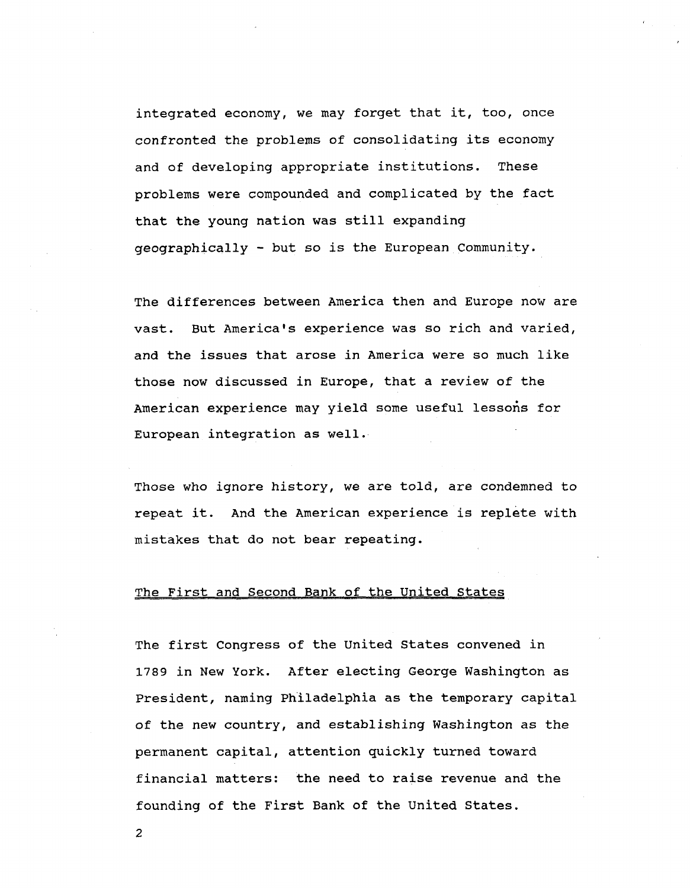**integrated economy, we may forget that it, too, once confronted the problems of consolidating its economy and of developing appropriate institutions. These problems were compounded and complicated by the fact that the young nation was still expanding geographically - but so is the European Community.**

**The differences between America then and Europe now are vast. But America's experience was so rich and varied, and the issues that arose in America were so much like those now discussed in Europe, that a review of the American experience may yield some useful lessons for European integration as well.**

**Those who ignore history, we are told, are condemned to repeat it. And the American experience is replete with mistakes that do not bear repeating.**

# **The First and Second Bank of the United States**

**The first Congress of the United States convened in 1789 in New York. After electing George Washington as President, naming Philadelphia as the temporary capital of the new country, and establishing Washington as the permanent capital, attention quickly turned toward financial matters: the need to raise revenue and the founding of the First Bank of the United States.**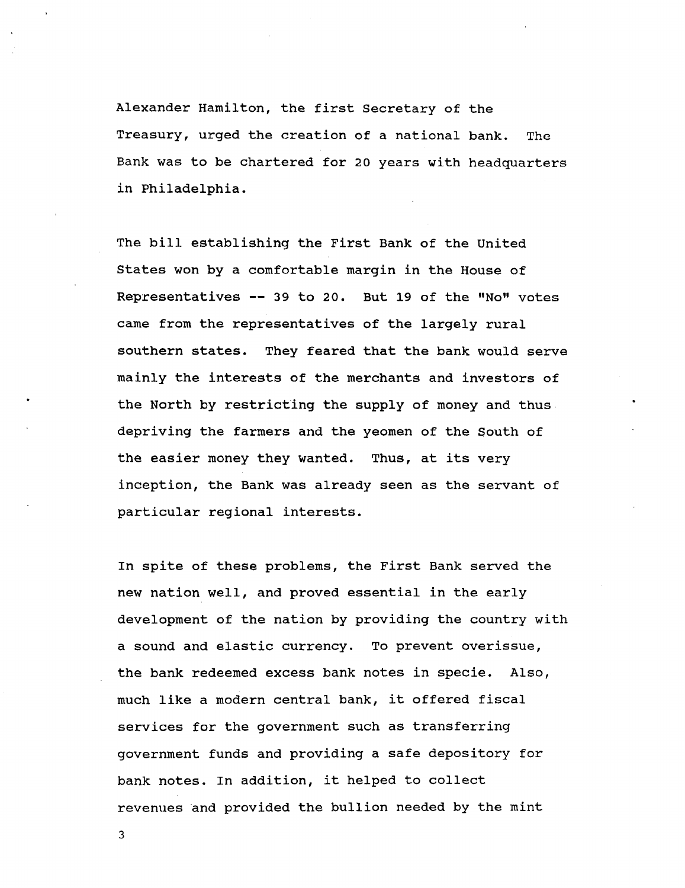**Alexander Hamilton, the first Secretary of the Treasury, urged the creation of a national bank. The Bank was to be chartered for 20 years with headquarters in Philadelphia.**

**The bill establishing the First Bank of the United States won by a comfortable margin in the House of Representatives — 39 to 20. But 19 of the "No" votes came from the representatives of the largely rural southern states. They feared that the bank would serve mainly the interests of the merchants and investors of the North by restricting the supply of money and thus depriving the farmers and the yeomen of the South of the easier money they wanted. Thus, at its very inception, the Bank was already seen as the servant of particular regional interests.**

**In spite of these problems, the First Bank served the new nation well, and proved essential in the early development of the nation by providing the country with a sound and elastic currency. To prevent overissue, the bank redeemed excess bank notes in specie. Also, much like a modern central bank, it offered fiscal services for the government such as transferring government funds and providing a safe depository for bank notes. In addition, it helped to collect revenues and provided the bullion needed by the mint**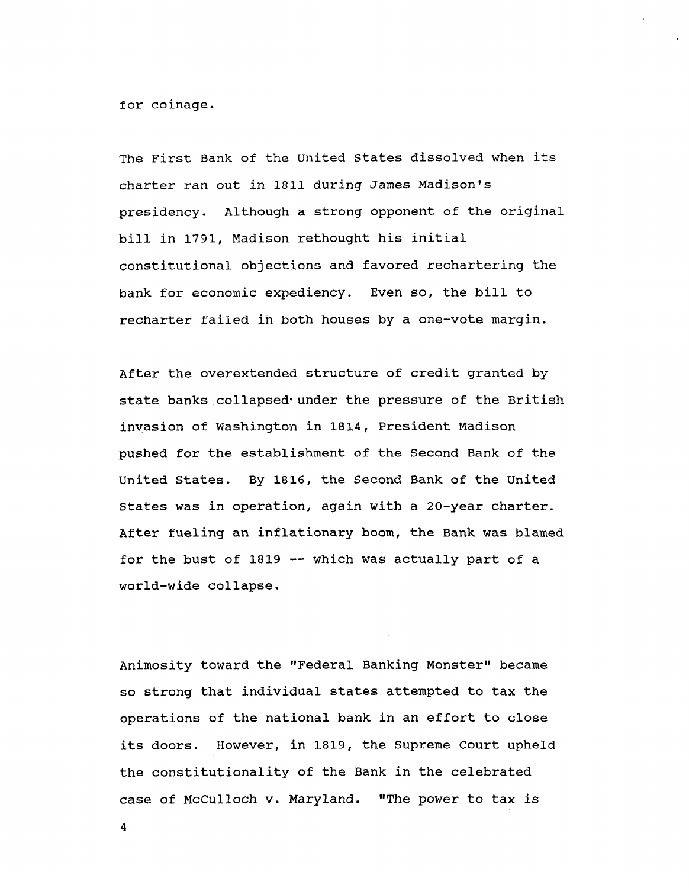**for coinage.**

**The First Bank of the United States dissolved when its charter ran out in 1811 during James Madison's presidency. Although a strong opponent of the original bill in 1791, Madison rethought his initial constitutional objections and favored rechartering the bank for economic expediency. Even so, the bill to recharter failed in both houses by a one-vote margin.**

**After the overextended structure of credit granted by state banks collapsed'under the pressure of the British invasion of Washington in 1814, President Madison pushed for the establishment of the Second Bank of the United States. By 1816, the Second Bank of the United States was in operation, again with a 20-year charter. After fueling an inflationary boom, the Bank was blamed for the bust of 1819 — which was actually part of a world-wide collapse.**

**Animosity toward the "Federal Banking Monster" became so strong that individual states attempted to tax the operations of the national bank in an effort to close its doors. However, in 1819, the Supreme Court upheld the constitutionality of the Bank in the celebrated case of McCulloch v. Maryland. "The power to tax is**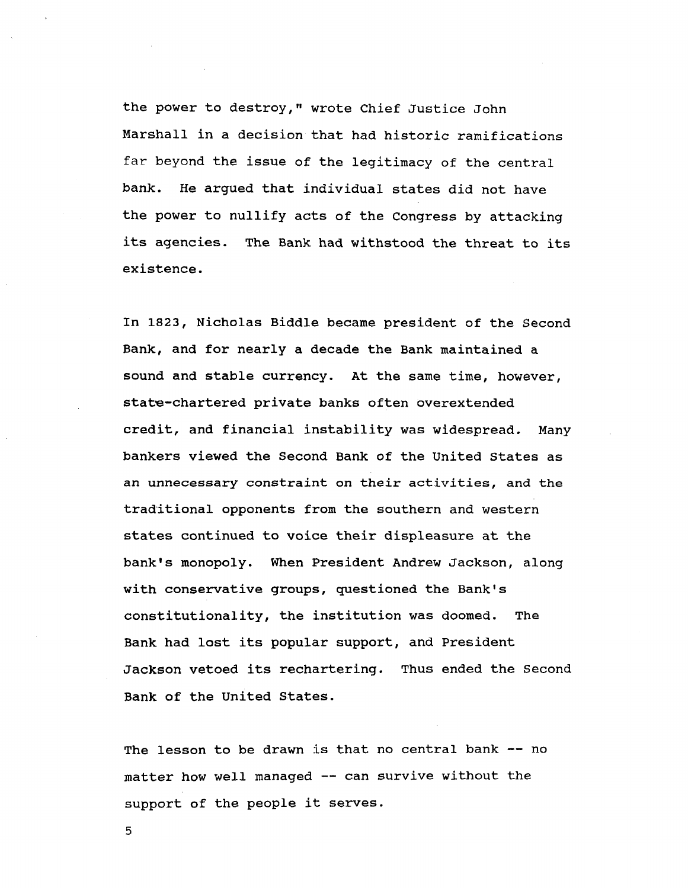**the power to destroy," wrote Chief Justice John Marshall in a decision that had historic ramifications far beyond the issue of the legitimacy of the central bank. He argued that individual states did not have the power to nullify acts of the Congress by attacking its agencies. The Bank had withstood the threat to its existence.**

**In 1823, Nicholas Biddle became president of the Second Bank, and for nearly a decade the Bank maintained a sound and stable currency. At the same time, however,**  $state$ -chartered private banks often overextended **credit, and financial instability was widespread. Many bankers viewed the Second Bank of the United States as an unnecessary constraint on their activities, and the traditional opponents from the southern and western states continued to voice their displeasure at the bank's monopoly. When President Andrew Jackson, along with conservative groups, questioned the Bank's constitutionality, the institution was doomed. The Bank had lost its popular support, and President Jackson vetoed its rechartering. Thus ended the Second Bank of the United States.**

**The lesson to be drawn is that no central bank — no matter how well managed — can survive without the support of the people it serves.**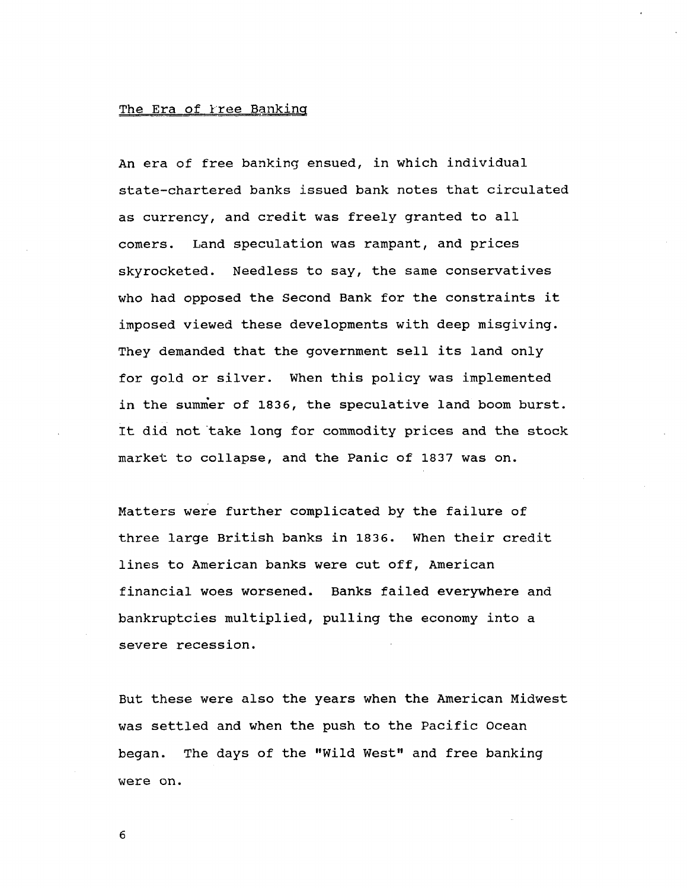### **The Era of free Banking**

**An era of free banking ensued, in which individual state-chartered banks issued bank notes that circulated as currency, and credit was freely granted to all comers. Land speculation was rampant, and prices skyrocketed. Needless to say, the same conservatives who had opposed the Second Bank for the constraints it imposed viewed these developments with deep misgiving. They demanded that the government sell its land only for gold or silver. When this policy was implemented in the summer of 183 6, the speculative land boom burst. It did not take long for commodity prices and the stock market to collapse, and the Panic of 18 3 7 was on.**

**Matters were further complicated by the failure of three large British banks in 183 6. When their credit lines to American banks were cut off, American financial woes worsened. Banks failed everywhere and bankruptcies multiplied, pulling the economy into a severe recession.**

**But these were also the years when the American Midwest was settled and when the push to the Pacific Ocean began. The days of the "Wild West" and free banking were on.**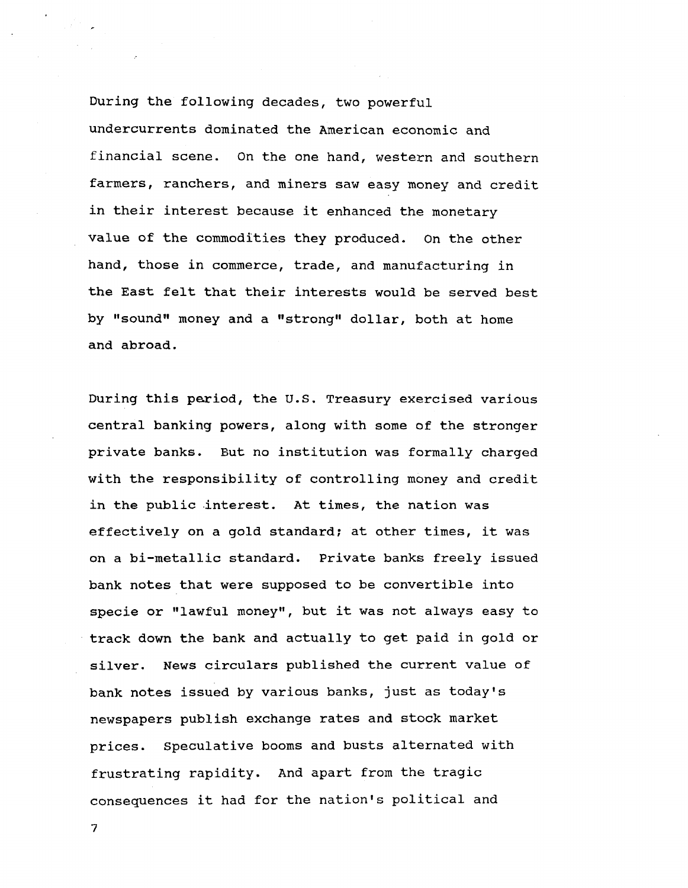**During the following decades, two powerful undercurrents dominated the American economic and financial scene. On the one hand, western and southern farmers, ranchers, and miners saw easy money and credit in their interest because it enhanced the monetary value of the commodities they produced. On the other hand, those in commerce, trade, and manufacturing in the East felt that their interests would be served best by "sound" money and a "strong" dollar, both at home and abroad.**

**During this period, the U.S. Treasury exercised various central banking powers, along with some of the stronger private banks. But no institution was formally charged with the responsibility of controlling money and credit in the public interest. At times, the nation was effectively on a gold standard; at other times, it was on a bi-metallic standard. Private banks freely issued bank notes that were supposed to be convertible into specie or "lawful money", but it was not always easy to track down the bank and actually to get paid in gold or silver. News circulars published the current value of bank notes issued by various banks, just as today's newspapers publish exchange rates and stock market prices. Speculative booms and busts alternated with frustrating rapidity. And apart from the tragic consequences it had for the nation's political and**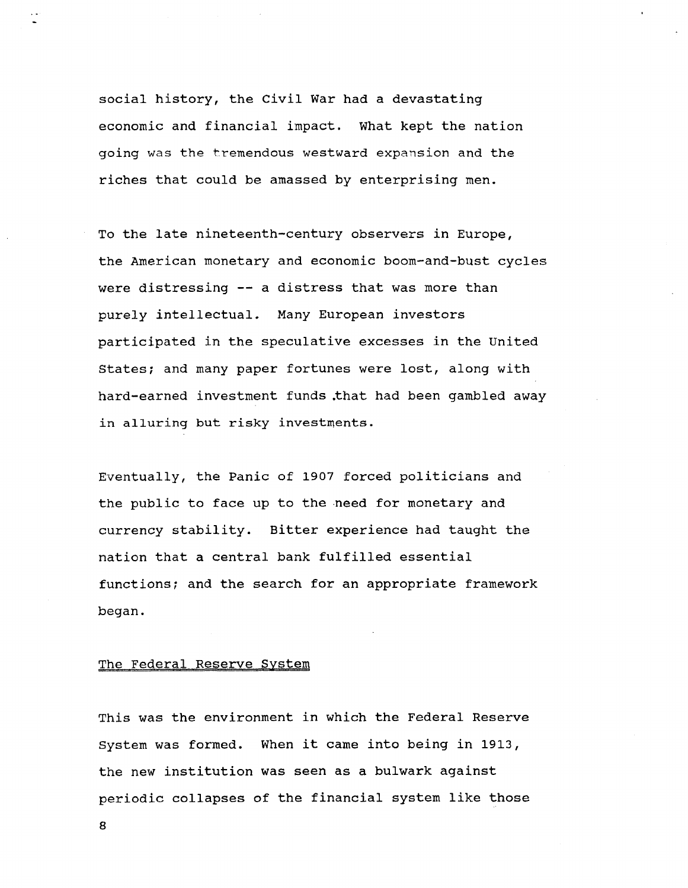social history, the Civil War had a devastating economic and financial impact. What kept the nation going was the tremendous westward expansion and the riches that could be amassed by enterprising men.

To the late nineteenth-century observers in Europe, the American monetary and economic boom-and-bust cycles were distressing -- a distress that was more than purely intellectual. Many European investors participated in the speculative excesses in the United States; and many paper fortunes were lost, along with hard-earned investment funds .that had been gambled away in alluring but risky investments.

Eventually, the Panic of 1907 forced politicians and the public to face up to the need for monetary and currency stability. Bitter experience had taught the nation that a central bank fulfilled essential functions; and the search for an appropriate framework began.

# The Federal Reserve System

This was the environment in which the Federal Reserve System was formed. When it came into being in 1913, the new institution was seen as a bulwark against periodic collapses of the financial system like those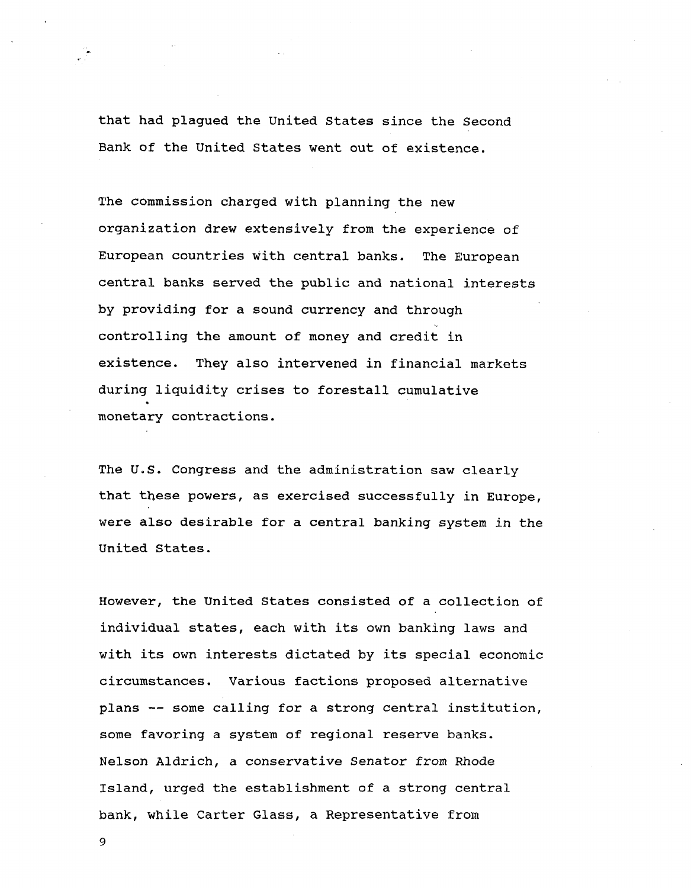**that had plagued the United States since the Second Bank of the United States went out of existence.**

**The commission charged with planning the new organization drew extensively from the experience of European countries with central banks. The European central banks served the public and national interests by providing for a sound currency and through controlling the amount of money and credit in existence. They also intervened in financial markets during liquidity crises to forestall cumulative monetary contractions.**

**The U.S. Congress and the administration saw clearly that these powers, as exercised successfully in Europe, were also desirable for a central banking system in the United States.**

**However, the United States consisted of a collection of individual states, each with its own banking laws and with its own interests dictated by its special economic circumstances. Various factions proposed alternative plans — some calling for a strong central institution, some favoring a system of regional reserve banks. Nelson Aldrich, a conservative Senator from Rhode Island, urged the establishment of a strong central bank, while Carter Glass, a Representative from**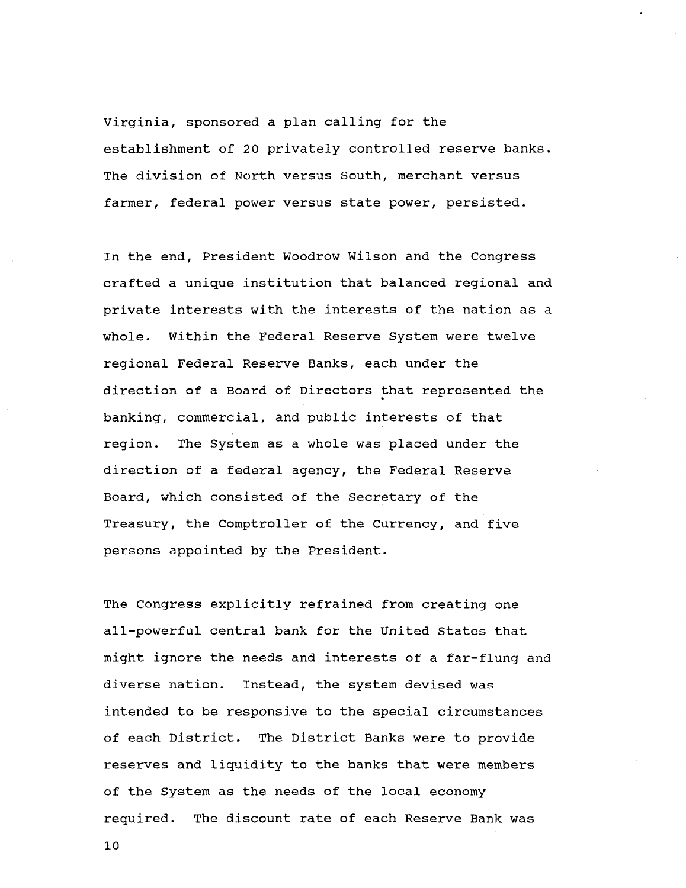Virginia, sponsored a plan calling for the establishment of 20 privately controlled reserve banks. The division of North versus South, merchant versus farmer, federal power versus state power, persisted.

In the end, President Woodrow Wilson and the Congress crafted a unique institution that balanced regional and private interests with the interests of the nation as a whole. Within the Federal Reserve System were twelve regional Federal Reserve Banks, each under the direction of a Board of Directors that represented the banking, commercial, and public interests of that region. The System as a whole was placed under the direction of a federal agency, the Federal Reserve Board, which consisted of the Secretary of the Treasury, the Comptroller of the Currency, and five persons appointed by the President.

The Congress explicitly refrained from creating one all-powerful central bank for the United States that might ignore the needs and interests of a far-flung and diverse nation. Instead, the system devised was intended to be responsive to the special circumstances of each District. The District Banks were to provide reserves and liquidity to the banks that were members of the System as the needs of the local economy required. The discount rate of each Reserve Bank was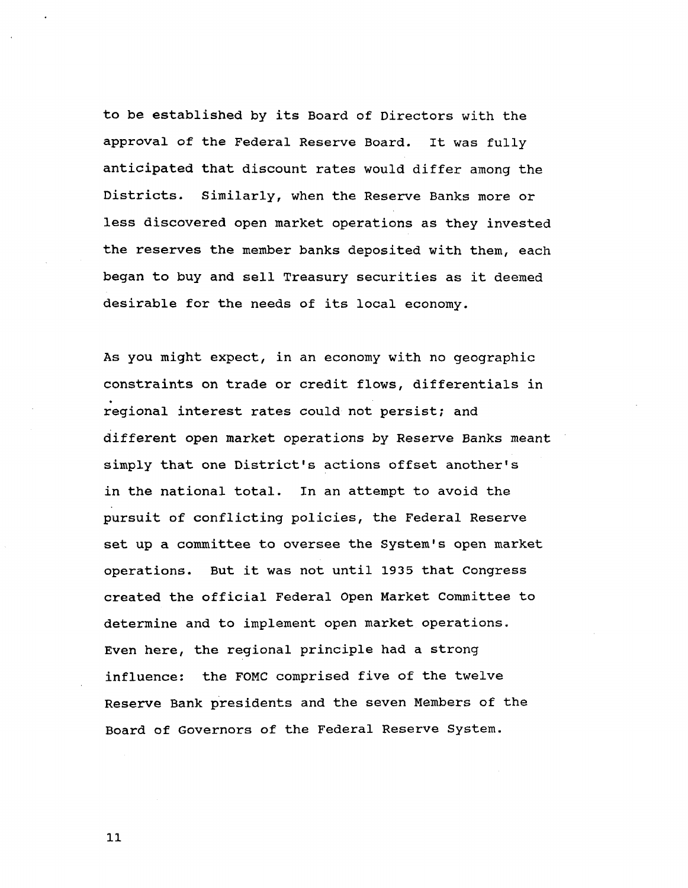**to be established by its Board of Directors with the approval of the Federal Reserve Board. It was fully anticipated that discount rates would differ among the Districts. Similarly, when the Reserve Banks more or less discovered open market operations as they invested the reserves the member banks deposited with them, each began to buy and sell Treasury securities as it deemed desirable for the needs of its local economy.**

**As you might expect, in an economy with no geographic constraints on trade or credit flows, differentials in regional interest rates could not persist; and different open market operations by Reserve Banks meant simply that one District's actions offset another's in the national total. In an attempt to avoid the pursuit of conflicting policies, the Federal Reserve set up a committee to oversee the System's open market operations. But it was not until 1935 that Congress created the official Federal Open Market Committee to determine and to implement open market operations. Even here, the regional principle had a strong influence: the FOMC comprised five of the twelve Reserve Bank presidents and the seven Members of the Board of Governors of the Federal Reserve System.**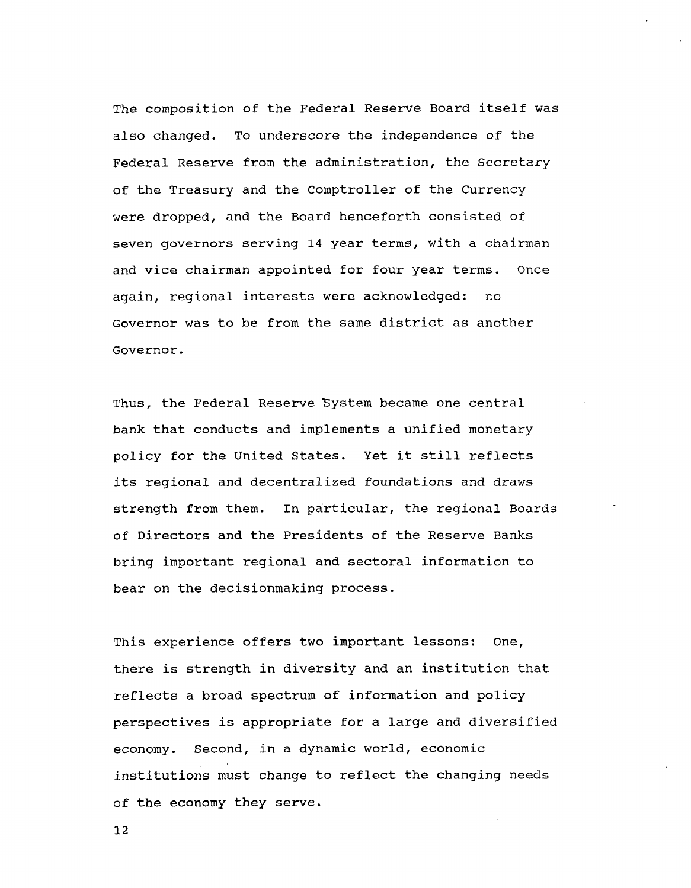The composition of the Federal Reserve Board itself was also changed. To underscore the independence of the Federal Reserve from the administration, the Secretary of the Treasury and the Comptroller of the Currency were dropped, and the Board henceforth consisted of seven governors serving 14 year terms, with a chairman and vice chairman appointed for four year terms. Once again, regional interests were acknowledged: no Governor was to be from the same district as another Governor.

Thus, the Federal Reserve System became one central bank that conducts and implements a unified monetary policy for the United States. Yet it still reflects its regional and decentralized foundations and draws strength from them. In particular, the regional Boards of Directors and the Presidents of the Reserve Banks bring important regional and sectoral information to bear on the decisionmaking process.

This experience offers two important lessons: One, there is strength in diversity and an institution that reflects a broad spectrum of information and policy perspectives is appropriate for a large and diversified economy. Second, in a dynamic world, economic institutions must change to reflect the changing needs of the economy they serve.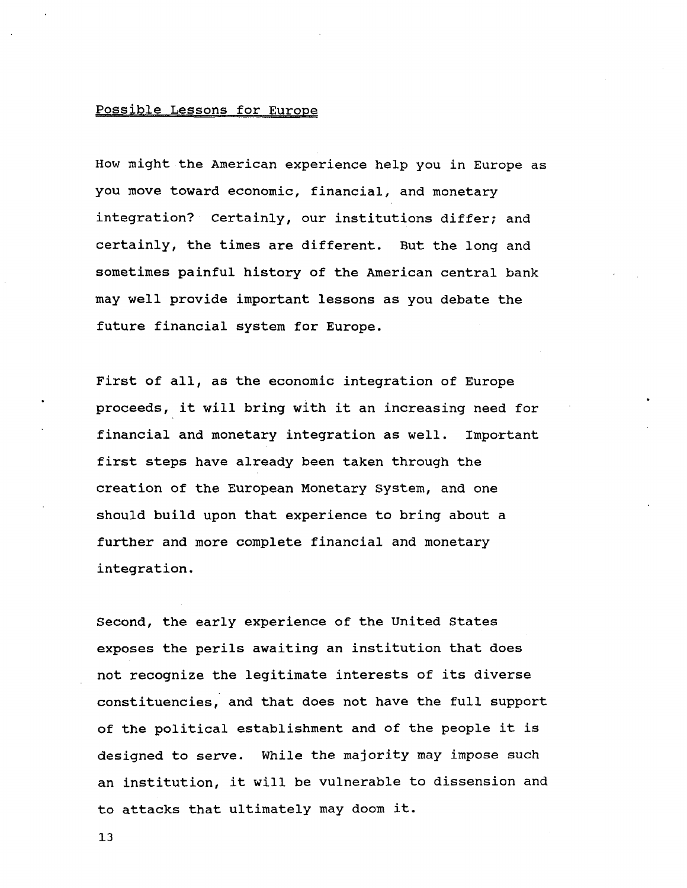# **Possible Lessons for Europe**

**How might the American experience help you in Europe as you move toward economic, financial, and monetary integration? Certainly, our institutions differ; and certainly, the times are different. But the long and sometimes painful history of the American central bank may well provide important lessons as you debate the future financial system for Europe.**

**First of all, as the economic integration of Europe proceeds, it will bring with it an increasing need for financial and monetary integration as well. Important first steps have already been taken through the creation of the European Monetary System, and one should build upon that experience to bring about a further and more complete financial and monetary integration.**

**Second, the early experience of the United States exposes the perils awaiting an institution that does not recognize the legitimate interests of its diverse constituencies, and that does not have the full support of the political establishment and of the people it is designed to serve. While the majority may impose such an institution, it will be vulnerable to dissension and to attacks that ultimately may doom it.**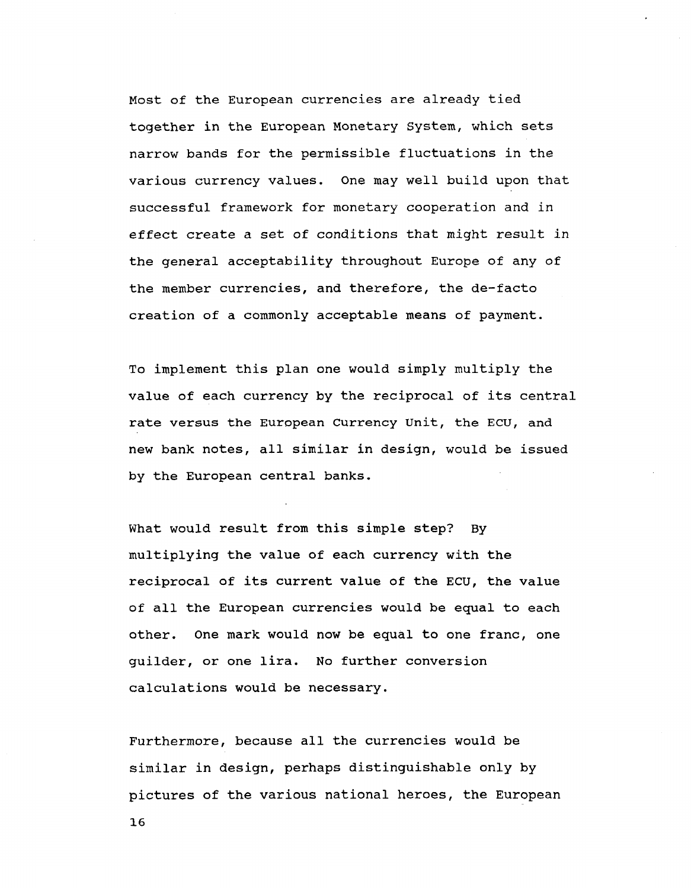**Most of the European currencies are already tied together in the European Monetary System, which sets narrow bands for the permissible fluctuations in the various currency values. One may well build upon that successful framework for monetary cooperation and in effect create a set of conditions that might result in the general acceptability throughout Europe of any of the member currencies, and therefore, the de-facto creation of a commonly acceptable means of payment.**

**To implement this plan one would simply multiply the value of each currency by the reciprocal of its central rate versus the European Currency Unit, the ECU, and new bank notes, all similar in design, would be issued by the European central banks.**

**What would result from this simple step? By multiplying the value of each currency with the reciprocal of its current value of the ECU, the value of all the European currencies would be equal to each other. One mark would now be equal to one franc, one guilder, or one lira. No further conversion calculations would be necessary.**

**Furthermore, because all the currencies would be similar in design, perhaps distinguishable only by pictures of the various national heroes, the European**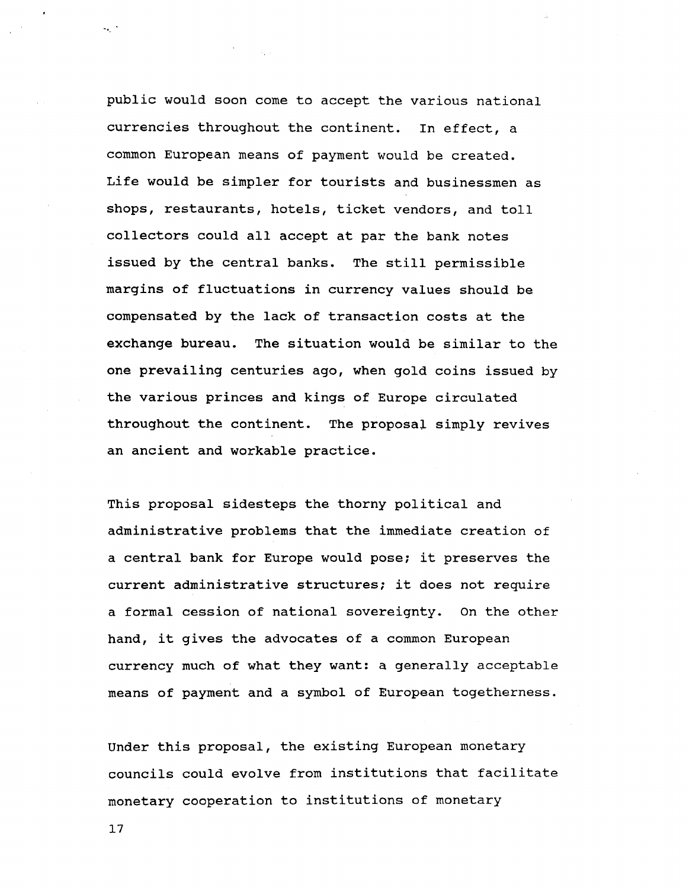**public would soon come to accept the various national currencies throughout the continent. In effect, a common European means of payment would be created. Life would be simpler for tourists and businessmen as shops, restaurants, hotels, ticket vendors, and toll collectors could all accept at par the bank notes issued by the central banks. The still permissible margins of fluctuations in currency values should be compensated by the lack of transaction costs at the exchange bureau. The situation would be similar to the one prevailing centuries ago, when gold coins issued by the various princes and kings of Europe circulated throughout the continent. The proposal simply revives an ancient and workable practice.**

**This proposal sidesteps the thorny political and administrative problems that the immediate creation of a central bank for Europe would pose; it preserves the current administrative structures; it does not require a formal cession of national sovereignty. On the other hand, it gives the advocates of a common European currency much of what they want: a generally acceptable means of payment and a symbol of European togetherness.**

**Under this proposal, the existing European monetary councils could evolve from institutions that facilitate monetary cooperation to institutions of monetary**